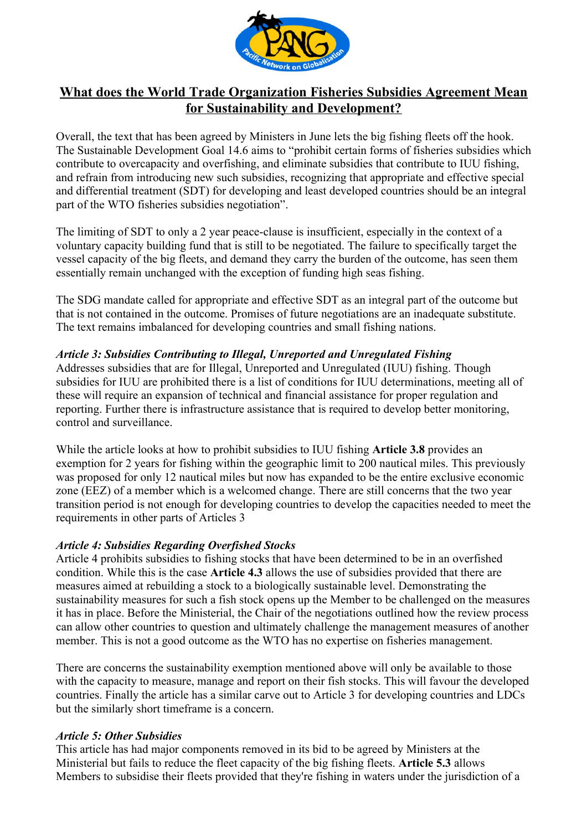

# **What does the World Trade Organization Fisheries Subsidies Agreement Mean for Sustainability and Development?**

Overall, the text that has been agreed by Ministers in June lets the big fishing fleets off the hook. The Sustainable Development Goal 14.6 aims to "prohibit certain forms of fisheries subsidies which contribute to overcapacity and overfishing, and eliminate subsidies that contribute to IUU fishing, and refrain from introducing new such subsidies, recognizing that appropriate and effective special and differential treatment (SDT) for developing and least developed countries should be an integral part of the WTO fisheries subsidies negotiation".

The limiting of SDT to only a 2 year peace-clause is insufficient, especially in the context of a voluntary capacity building fund that is still to be negotiated. The failure to specifically target the vessel capacity of the big fleets, and demand they carry the burden of the outcome, has seen them essentially remain unchanged with the exception of funding high seas fishing.

The SDG mandate called for appropriate and effective SDT as an integral part of the outcome but that is not contained in the outcome. Promises of future negotiations are an inadequate substitute. The text remains imbalanced for developing countries and small fishing nations.

## *Article 3: Subsidies Contributing to Illegal, Unreported and Unregulated Fishing*

Addresses subsidies that are for Illegal, Unreported and Unregulated (IUU) fishing. Though subsidies for IUU are prohibited there is a list of conditions for IUU determinations, meeting all of these will require an expansion of technical and financial assistance for proper regulation and reporting. Further there is infrastructure assistance that is required to develop better monitoring, control and surveillance.

While the article looks at how to prohibit subsidies to IUU fishing **Article 3.8** provides an exemption for 2 years for fishing within the geographic limit to 200 nautical miles. This previously was proposed for only 12 nautical miles but now has expanded to be the entire exclusive economic zone (EEZ) of a member which is a welcomed change. There are still concerns that the two year transition period is not enough for developing countries to develop the capacities needed to meet the requirements in other parts of Articles 3

### *Article 4: Subsidies Regarding Overfished Stocks*

Article 4 prohibits subsidies to fishing stocks that have been determined to be in an overfished condition. While this is the case **Article 4.3** allows the use of subsidies provided that there are measures aimed at rebuilding a stock to a biologically sustainable level. Demonstrating the sustainability measures for such a fish stock opens up the Member to be challenged on the measures it has in place. Before the Ministerial, the Chair of the negotiations outlined how the review process can allow other countries to question and ultimately challenge the management measures of another member. This is not a good outcome as the WTO has no expertise on fisheries management.

There are concerns the sustainability exemption mentioned above will only be available to those with the capacity to measure, manage and report on their fish stocks. This will favour the developed countries. Finally the article has a similar carve out to Article 3 for developing countries and LDCs but the similarly short timeframe is a concern.

### *Article 5: Other Subsidies*

This article has had major components removed in its bid to be agreed by Ministers at the Ministerial but fails to reduce the fleet capacity of the big fishing fleets. **Article 5.3** allows Members to subsidise their fleets provided that they're fishing in waters under the jurisdiction of a